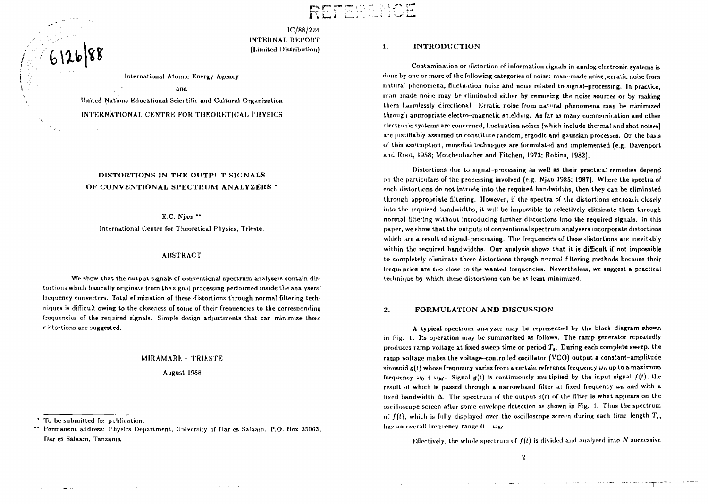# $R$   $\square$   $'$

IC/88/224 INTKRNAL REPORT (Limited Distribution)

International Atomic Energy Agency

and

United Nations Educational Scientific and Cultural Organization INTERNATIONAL CENTRE FOR THEORETICAL PHYSICS

## DISTORTIONS IN THE OUTPUT SIGNALS OF CONVENTIONAL SPECTRUM ANALYZERS \*

E.C. Njau "

International Centre for Theoretical Physics, Trieste.

### ABSTRACT

We show that the output signals of conventional spectrum analysers contain distortions which basically originate from the signal processing performed inside the analysers' frequency converters. Total elimination of these distortions through normal filtering techniques is difficult owing to the closeness of some of their frequencies to the corresponding frequencies of the required signals. Simple design adjustments that can minimize these distortions are suggested.

#### MIRAMARE - TRIESTE

August 1988

To be submitted for publication.

**Contractor** 

**Service** 

**Committee State** 

6126/88

 $\mathcal{O}(\frac{1}{\sqrt{2}})$ 

Permanent address: Physics Department, University of Dar es Salaam. P.O. Box 35063, Dar es Salaam, Tanzania.

**College** 

**Contractor** 

#### **1.** INTRODUCTION

Contamination or distortion of information signals in analog electronic systems is florin by one or more of the following categories of noise: man-made noise, erratic noise from natural phenomena, fluctuation noise and noise related to signal-processing. In practice, man made noise may be eliminated either by removing the noise sources or by making them harmlessly directional. Erratic noise from natural phenomena may be minimized through appropriate electro-magnetic shielding. As far as many communication and other electronic systems are concerned, fluctuation noises (which include thermal and shot noises) are justifiably assumed to constitute random, ergodic and gaussian processes. On the basis of this assumption, remedial techniques are formulated and implemented (e.g. Davenport and Root, 1958; Motchenbacher and Fitchen, 1973; Robins, 1982).

Distortions due to signal-processing as well as their practical remedies depend on the particulars of the processing involved (e.g. Njan 1985; 1987). Where the spectra of such distortions do not intrude into the required bandwidths, then they can be eliminated through appropriate filtering. However, if the spectra of the distortions encroach closely into the required bandwidths, it will be impossible to selectively eliminate them through normal filtering without introducing further distortions into the required signals. In this paper, we show that the outputs of conventional spectrum analysers incorporate distortions which are a result of signal-processing. The frequencies of these distortions are inevitably within the required bandwidths. Our analysis shows that it is difficult if not impossible to completely eliminate these distortions through normal filtering methods because their frequencies are too close to the wanted frequencies!. Nevertheless, we suggest a practical technique by which these distortions can be at least minimized.

#### **2.** FORMULATION AND DISCUSSION

A typical spectrum analyzer may be represented by the block diagram shown in Fig. 1. Its operation may be summarized as follows. The ramp generator repeatedly produces ramp voltage at fixed sweep time or period  $T<sub>e</sub>$ . During each complete sweep, the ramp voltage makes the voltage-controlled oscillator (VCO) output a constant-amplitude sinusoid  $g(t)$  whose frequency varies from a certain reference frequency  $\omega_0$  up to a maximum frequency  $\omega_0 + \omega_M$ . Signal  $q(t)$  is continuously multiplied by the input signal  $f(t)$ , the result of which is passed through a narrowband filter at fixed frequency  $\omega_0$  and with a fixed bandwidth A. The spectrum of the output *s(l)* of the filter is what appears on the oscilloscope screen after some envelope detection as shown in Fig. 1. Thus the spectrum of  $f(t)$ , which is fully displayed over the oscilloscope screen during each time-length  $T_s$ , has an overall frequency range  $0 \times w_M$ .

Effectively, the whole spectrum of  $f(t)$  is divided and analysed into N successive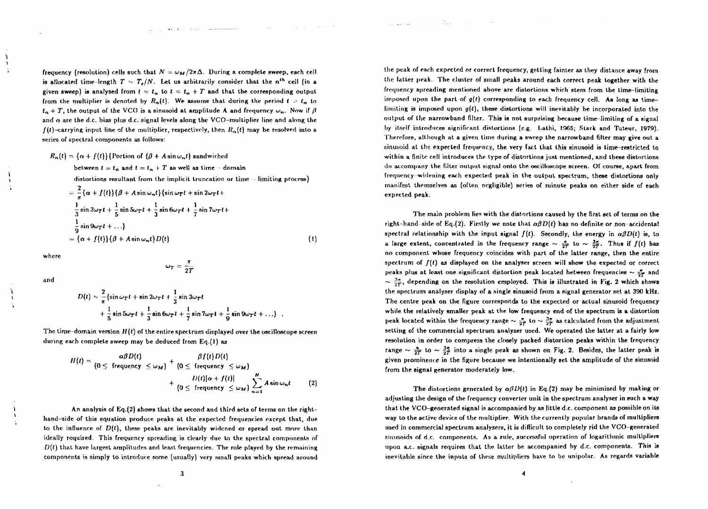frequency (resolution) cells such that  $N = \omega_M/2\pi\Delta$ . During a complete sweep, each cell is allocated time-length  $T = T_s/N$ . Let us arbitrarily consider that the  $n^{th}$  cell (in a given sweep) is analysed from  $t = t_n$  to  $t = t_n + T$  and that the corresponding output from the multiplier is denoted by  $R_n(t)$ . We assume that during the period  $t = t_n$  to  $t_n + T$ , the output of the VCO is a sinusoid at amplitude A and frequency  $\omega_n$ . Now if  $\beta$ and *a* are the d.c. bias plus d.c. signal levels along the VCO-multiplier line and along the  $f(t)$ -carrying input line of the multiplier, respectively, then  $R_n(t)$  may be resolved into a series of spectral components as follows:

and the company of the company of the company of the company of the company of the company of

$$
R_n(t) = {\alpha + f(t)} {\text{portion of } (\beta + A \sin \omega_n t) \text{ sandwiched}}
$$
  
between  $t = t_n$  and  $t = t_n + T$  as well as time – domain  
distortions resultant from the implicit truncation or time – limiting process}  

$$
= \frac{2}{\pi} {\alpha + f(t)} {\beta + A \sin \omega_n t} {\sin \omega_T t + \sin 2\omega_T t +
$$
  

$$
\frac{1}{3} \sin 3\omega_T t + \frac{1}{5} \sin 5\omega_T t + \frac{1}{3} \sin 6\omega_T t + \frac{1}{7} \sin 7\omega_T t +
$$
  

$$
\frac{1}{9} \sin 9\omega_T t + ... }
$$
  

$$
= {\alpha + f(t)} {\beta + A \sin \omega_n t} D(t)
$$
 (1)

where

and

$$
D(t) = \frac{2}{\pi} \left\{ \sin \omega_T t + \sin 2\omega_T t + \frac{1}{3} \sin 3\omega_T t + \frac{1}{5} \sin 5\omega_T t + \frac{1}{3} \sin 6\omega_T t + \frac{1}{7} \sin 7\omega_T t + \frac{1}{9} \sin 9\omega_T t + \dots \right\}
$$

The time-domain version *H(i)* of the entire spectrum displayed over the oscilloscope screen during each complete sweep may be deduced from Eq.(1) as

$$
H(t) = \frac{\alpha\beta D(t)}{(0 \leq \text{ frequency } \leq \omega_M)} + \frac{\beta f(t)D(t)}{(0 \leq \text{ frequency } \leq \omega_M)} + \frac{D(t)[\alpha + f(t)]}{(0 \leq \text{ frequency } \leq \omega_M)} \sum_{n=1}^{N} A \sin \omega_n t \qquad (2)
$$

An analysis of Eq.(2) shows that the second and third sets of terms on the righthand-side of this equation produce peaks at the expected frequencies except that, due to the influence of  $D(t)$ , these peaks are inevitably widened or spread out more than ideally required. This frequency spreading is clearly due to the spectral components of  $D(t)$  that have largest amplitudes and least frequencies. The role played by the remaining components is simply to introduce some (usually) very small peaks which spread around

the peak of each expected or correct frequency, getting fainter as they distance away from the latter peak. The cluster of small peaks around each correct peak together with the frequency spreading mentioned above are distortions which stem from the time-limiting imposed upon the part of *g[t)* corresponding to each frequency cell. Ag long as timelimiting is imposed upon  $g(t)$ , these distortions will inevitably be incorporated into the output of the narrowband filter. This is not surpriaing because time-limiting of a signal by itself introduces significant distortions (e.g. Lathi, 1965; Stark and Tuteur, 1979). Therefore, although at a given time during a sweep the narrowband filter may give out a sinusoid at the expected frequency, the very fact that this sinusoid is time-restricted to within a finite cell introduces the type of distortions just mentioned, and these distortions do accompany the Filter output signal onto the oscilloscope screen. Of course, apart from frequency-widening each expected peak in the output spectrum, these distortions only manifest themselves as (often negligible) scries of minute peaks on either side of each expected peak.

الموارد والتفقي بالمرامين والتقويق وواز

The main problem lien with the distortions caused by the first set of terms on the right-hand-side of Eq.(2). Firstly we note that  $\alpha\beta D(t)$  has no definite or non-accidental spectral relationship with the input signal  $f(t)$ . Secondly, the energy in  $\alpha\beta D(t)$  is, to a large extent, concentrated in the frequency range  $\sim \frac{4}{2T}$  to  $\sim \frac{3\pi}{2T}$ . Thus if  $f(t)$  has no component whose frequency coincides with part of the latter range, then the entire spectrum of  $f(t)$  as displayed on the analyser screen will show the expected or correct peaks plus at least one significant distortion peak located between frequencies  $\sim \frac{\pi}{2T}$  and  $\sim \frac{3\pi}{2^r}$ , depending on the resolution employed. This is illustrated in Fig. 2 which shows the spectrum analyser display of a single sinusoid from a signal generator set at 390 kHz. The centre peak on the figure corresponds to the expected or actual sinusoid frequency while the relatively smaller peak at the low frequency end of the spectrum is a distortion peak located within the frequency range  $\sim \frac{\pi}{2T}$  to  $\sim \frac{3\pi}{2T}$  as calculated from the adjustment setting of the commercial spectrum analyser used. We operated the latter at a fairly low resolution in order to compress the closely packed distortion peaks within the frequency range  $\sim \frac{\pi}{2T}$  to  $\sim \frac{3\pi}{2T}$  into a single peak as shown on Fig. 2. Besides, the latter peak is given prominence in the figure because we intentionally set the amplitude of the sinusoid from the signal generator moderately low.

The distortions generated by  $\alpha\beta D(t)$  in Eq.(2) may be minimized by making or adjusting the design of the frequency converter unit in the spectrum analyser in such a way that the VCO-generated signal is accompanied by as little d.c. component as possible on its way to the active device of the multiplier. With the currently popular brands of multipliers used in commercial spectrum analysers, it is difficult to completely rid the VCO-generated sinusoids of d.c. components. As a rule, successful operation of logarithmic multipliers upon a.c. signals requires that the latter be accompanied by d.c. components. This is inevitable since the inputs of these multipliers have to be unipolar. As regards variable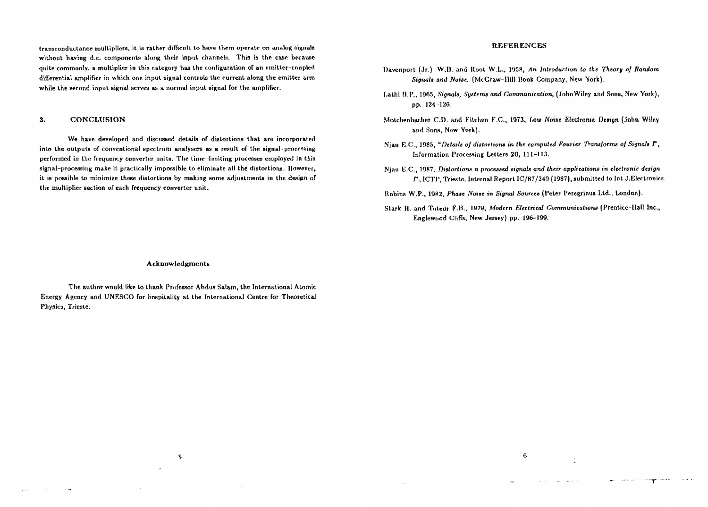transconductance multipliers, it *is* rather difficult to have itirm operate on analog signals without having d.c. components along their input channels. This is the case because quite commonly, a multiplier in this category has the configuration of an emitter-coupled differential amplifier in which one input signal controls the current along the emitter arm while the second input signal serves as a normal input signal for the amplifier.

#### **3.** CONCLUSION

We have developed and discussed details of distortions that are incorporated into the outputs of conventional spectrum analysers as a result of the signal-processing performed in the frequency converter units. The time-limiting processes employed in this signal-processing make it practically impossible to eliminate all the distortions. However, it is possible to minimize these distortions by making some adjustments in the design of the multiplier section of each frequency converter unit.

#### REFERENCES

- Davenport (Jr.) W.D. and Root W.L., 1958, *An Introduction to the Theory of Random Signals and Noise.* (McGraw-Hill Book Company, New York).
- Lathi B.P., 1965, *Signals, Systems and Communication*, (John Wiley and Sons, New York), pp. 124-126.
- Motchenbacher CD. and Kitchen F.C., 1973, *Low Noise Electronic Design* (John Wiley and Sons, New York).
- Niau E.C., 1985, "Details of distortions in the computed Fourier Transforms of Signals F, Information Processing Letters 20, 111-113.
- Njau E.C., 1987, *Distortions n processed signals and their applications* in *electronic design r,* ICTI', Trieste, Internal Report IC/87/340 (1987), submitted to Int.J.Electronics.
- Robins W.P., 198Z, *Phase Noise in Signal Sources* (Peter Peregrinus Ltd., London).
- Stark H. and Tuteur F.B., 1979, *Modern Electrical Communications* (Prentice-Hall Inc., Englewood Cliffs, New Jersey) pp. 196-199.

-6

and the company

#### Acknowledgments

The author would Irke to thank Professor Abdus Salam, the International Atomic Energy Agency and UNESCO for hospitality at the International Centre for Theoretical Physics, Trieste.

 $5<sub>1</sub>$ 

 $\sim$ 

 $\mathcal{L}_{\text{max}}$  ,  $\mathcal{L}_{\text{max}}$ 

المنافس والمستقل والمنافس والمنافي

**Carl Carl**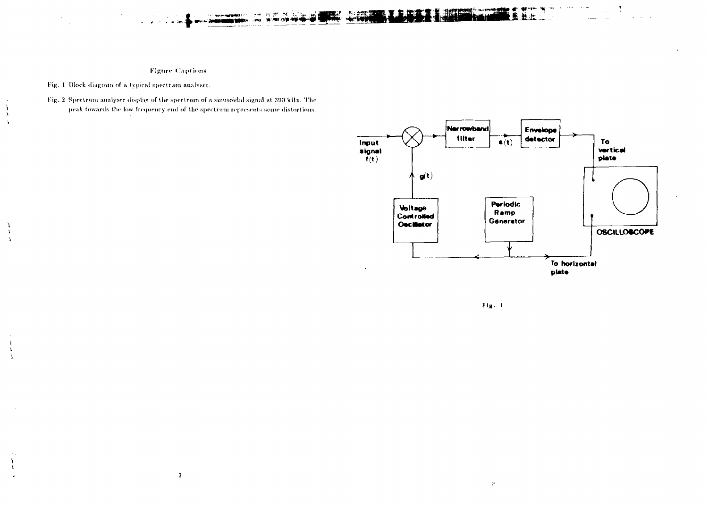f,

 $\lambda$ 

 $\mathbf{1}$ 

Fig. 2 Spectrum analyser display of the spectrum of a sinusoidal signal at 390 kHz. The peak towards the low frequency end of the spectrum represents some distortions.

 $\bf 7$ 



 $.$   $\rho$   $\sigma$   $\varepsilon$   $\vec{m}$ 

 $\mathbf{F1g} = 1$ 

 $\mu$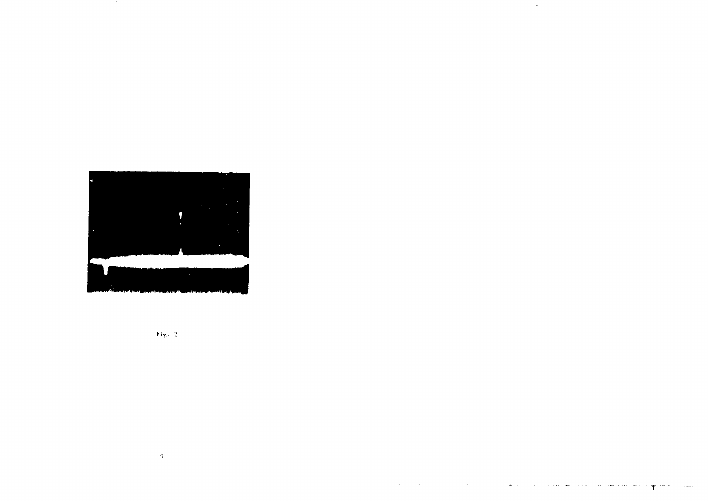

 $\sim 10^4$ 

 $\sim 80$ 

 $\mathcal{L}^{\text{max}}_{\text{max}}$  and  $\mathcal{L}^{\text{max}}_{\text{max}}$ 



 $\sim 9\%$ 

contractors and a

 $\mathcal{A}^{\mathcal{A}}$  and  $\mathcal{A}^{\mathcal{A}}$  and  $\mathcal{A}^{\mathcal{A}}$ 

 $\sim 10^{-1}$ 

 $\Delta\omega_{\rm{max}}$  and  $\omega_{\rm{max}}$ 

**Service** Story

and the state of

 $\mathcal{F}_{\text{max}}$  .

and the company